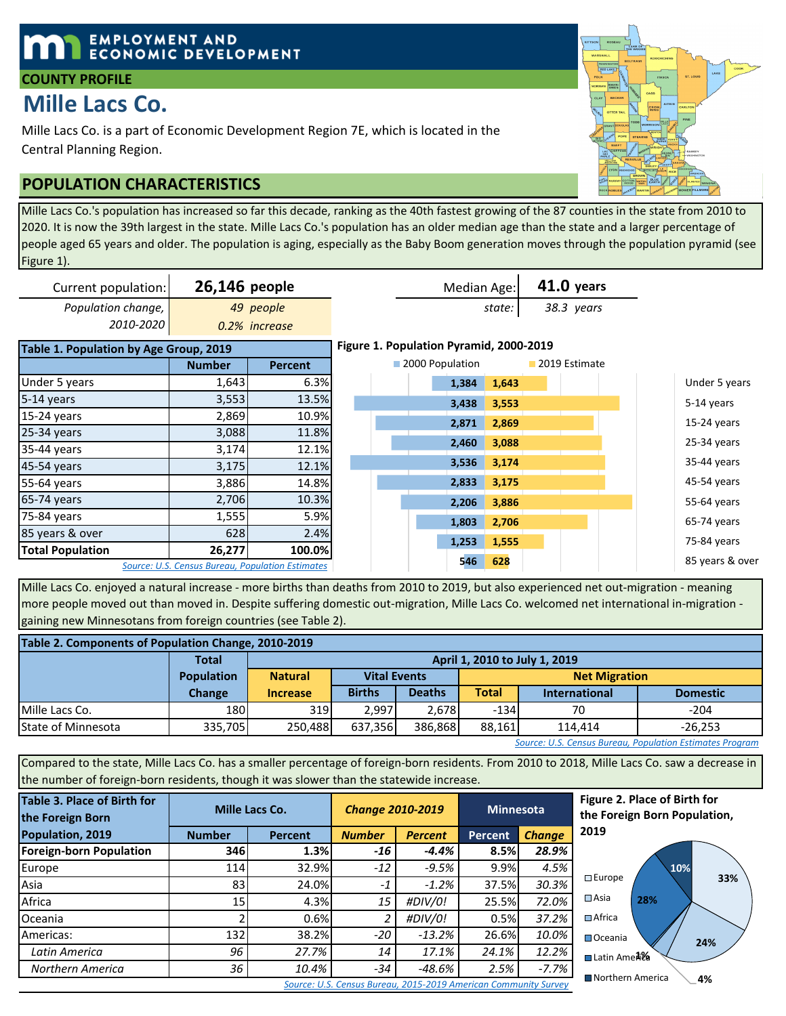## **EMPLOYMENT AND ECONOMIC DEVELOPMENT**

## **COUNTY PROFILE**

# **Mille Lacs Co.**

Mille Lacs Co. is a part of Economic Development Region 7E, which is located in the Central Planning Region.

## **POPULATION CHARACTERISTICS**

Mille Lacs Co.'s population has increased so far this decade, ranking as the 40th fastest growing of the 87 counties in the state from 2010 to 2020. It is now the 39th largest in the state. Mille Lacs Co.'s population has an older median age than the state and a larger percentage of people aged 65 years and older. The population is aging, especially as the Baby Boom generation moves through the population pyramid (see Figure 1).

| Current population:                    | 26,146 people |                                                  |                                         |                 |       | Median Age: | $41.0$ years  |  |                 |
|----------------------------------------|---------------|--------------------------------------------------|-----------------------------------------|-----------------|-------|-------------|---------------|--|-----------------|
| Population change,                     |               | 49 people                                        |                                         |                 |       | state:      | 38.3 years    |  |                 |
| 2010-2020                              |               | 0.2% increase                                    |                                         |                 |       |             |               |  |                 |
| Table 1. Population by Age Group, 2019 |               |                                                  | Figure 1. Population Pyramid, 2000-2019 |                 |       |             |               |  |                 |
|                                        | <b>Number</b> | <b>Percent</b>                                   |                                         | 2000 Population |       |             | 2019 Estimate |  |                 |
| Under 5 years                          | 1,643         | 6.3%                                             |                                         |                 | 1,384 | 1,643       |               |  | Under 5 years   |
| 5-14 years                             | 3,553         | 13.5%                                            |                                         |                 | 3,438 | 3,553       |               |  | 5-14 years      |
| 15-24 years                            | 2,869         | 10.9%                                            |                                         |                 | 2,871 | 2,869       |               |  | 15-24 years     |
| 25-34 years                            | 3,088         | 11.8%                                            |                                         |                 |       |             |               |  |                 |
| 35-44 years                            | 3,174         | 12.1%                                            |                                         |                 | 2,460 | 3,088       |               |  | 25-34 years     |
| 45-54 years                            | 3,175         | 12.1%                                            |                                         |                 | 3,536 | 3,174       |               |  | 35-44 years     |
| 55-64 years                            | 3,886         | 14.8%                                            |                                         |                 | 2,833 | 3,175       |               |  | 45-54 years     |
| 65-74 years                            | 2,706         | 10.3%                                            |                                         |                 | 2,206 | 3,886       |               |  | 55-64 years     |
| 75-84 years                            | 1,555         | 5.9%                                             |                                         |                 | 1,803 | 2,706       |               |  | 65-74 years     |
| 85 years & over                        | 628           | 2.4%                                             |                                         |                 |       |             |               |  |                 |
| <b>Total Population</b>                | 26,277        | 100.0%                                           |                                         |                 | 1,253 | 1,555       |               |  | 75-84 years     |
|                                        |               | Source: U.S. Census Bureau, Population Estimates |                                         |                 | 546   | 628         |               |  | 85 years & over |

Mille Lacs Co. enjoyed a natural increase - more births than deaths from 2010 to 2019, but also experienced net out-migration - meaning more people moved out than moved in. Despite suffering domestic out-migration, Mille Lacs Co. welcomed net international in-migration gaining new Minnesotans from foreign countries (see Table 2).

| Table 2. Components of Population Change, 2010-2019 |                                                                            |                 |                               |               |                      |                      |                 |  |  |  |  |
|-----------------------------------------------------|----------------------------------------------------------------------------|-----------------|-------------------------------|---------------|----------------------|----------------------|-----------------|--|--|--|--|
|                                                     | <b>Total</b>                                                               |                 | April 1, 2010 to July 1, 2019 |               |                      |                      |                 |  |  |  |  |
|                                                     | <b>Population</b>                                                          | <b>Natural</b>  | <b>Vital Events</b>           |               | <b>Net Migration</b> |                      |                 |  |  |  |  |
|                                                     | Change                                                                     | <b>Increase</b> | <b>Births</b>                 | <b>Deaths</b> | <b>Total</b>         | <b>International</b> | <b>Domestic</b> |  |  |  |  |
| Mille Lacs Co.                                      | 180                                                                        | 3191            | 2.997                         | 2.678         | $-134$               | 70                   | $-204$          |  |  |  |  |
| <b>State of Minnesota</b>                           | 335,705<br>386.868<br>88.161<br>637,356<br>250.488<br>$-26.253$<br>114.414 |                 |                               |               |                      |                      |                 |  |  |  |  |

*Source: U.S. Census Bureau, Population Estimates Program*

**Latin Ame∄‰** 

■Northern America

■Oceania

Compared to the state, Mille Lacs Co. has a smaller percentage of foreign-born residents. From 2010 to 2018, Mille Lacs Co. saw a decrease in the number of foreign-born residents, though it was slower than the statewide increase.

| Table 3. Place of Birth for<br>the Foreign Born |                                                                 | Mille Lacs Co. | <b>Change 2010-2019</b> |                | <b>Minnesota</b> |               |  |  |  |  |  |
|-------------------------------------------------|-----------------------------------------------------------------|----------------|-------------------------|----------------|------------------|---------------|--|--|--|--|--|
| Population, 2019                                | <b>Number</b>                                                   | Percent        | <b>Number</b>           | <b>Percent</b> | Percent          | <b>Change</b> |  |  |  |  |  |
| <b>Foreign-born Population</b>                  | 346                                                             | 1.3%           | -16                     | $-4.4%$        | 8.5%             | 28.9%         |  |  |  |  |  |
| Europe                                          | 114                                                             | 32.9%          | $-12$                   | $-9.5%$        | 9.9%             | 4.5%          |  |  |  |  |  |
| Asia                                            | 831                                                             | 24.0%          | $-1$                    | $-1.2%$        | 37.5%            | 30.3%         |  |  |  |  |  |
| Africa                                          | 15 <sup>1</sup>                                                 | 4.3%           | 15                      | #DIV/0!        | 25.5%            | 72.0%         |  |  |  |  |  |
| Oceania                                         | า                                                               | 0.6%           | 2                       | #DIV/0!        | 0.5%             | 37.2%         |  |  |  |  |  |
| Americas:                                       | 132                                                             | 38.2%          | $-20$                   | $-13.2%$       | 26.6%            | 10.0%         |  |  |  |  |  |
| Latin America                                   | 96                                                              | 27.7%          | 14                      | 17.1%          | 24.1%            | 12.2%         |  |  |  |  |  |
| Northern America                                | 36                                                              | 10.4%          | $-34$                   | $-48.6%$       | 2.5%             | $-7.7%$       |  |  |  |  |  |
|                                                 | Source: U.S. Census Bureau, 2015-2019 American Community Survey |                |                         |                |                  |               |  |  |  |  |  |



**24%**

**4%**

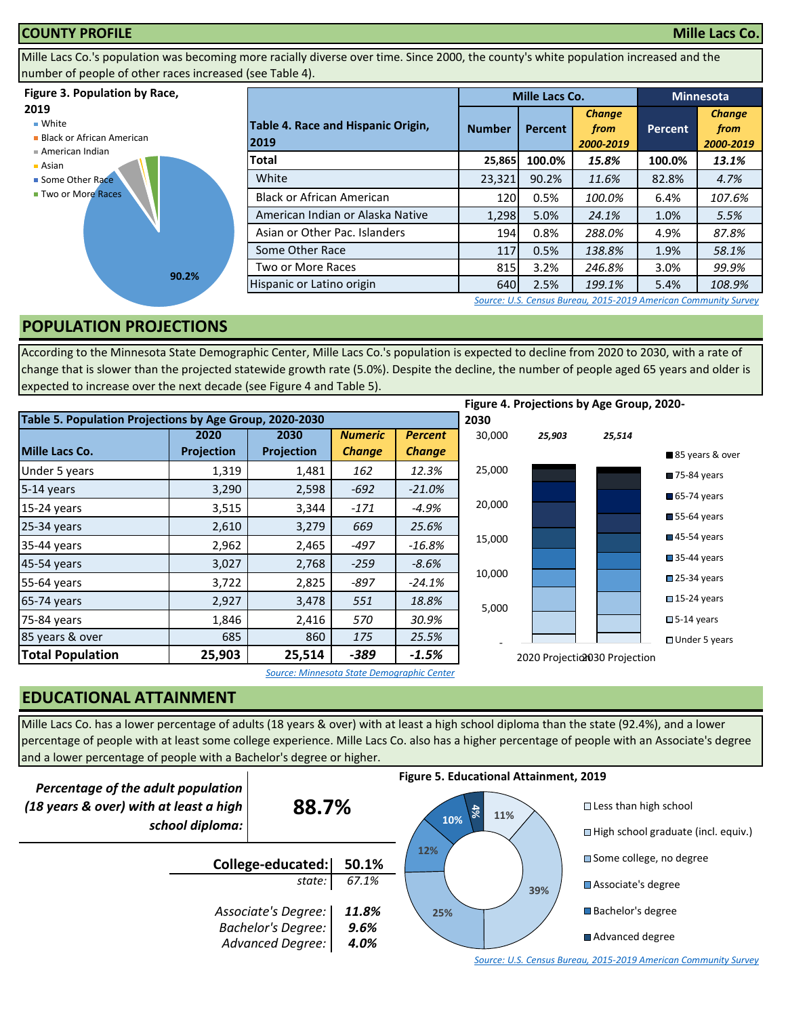#### **COUNTY PROFILE Mille Lacs Co.**

Mille Lacs Co.'s population was becoming more racially diverse over time. Since 2000, the county's white population increased and the number of people of other races increased (see Table 4).

#### **Figure 3. Population by Race,**

#### **2019**

■ White

**Black or African American** 



Asian





|                                            |               | <b>Mille Lacs Co.</b> | <b>Minnesota</b>                   |                |                                    |
|--------------------------------------------|---------------|-----------------------|------------------------------------|----------------|------------------------------------|
| Table 4. Race and Hispanic Origin,<br>2019 | <b>Number</b> | <b>Percent</b>        | <b>Change</b><br>from<br>2000-2019 | <b>Percent</b> | <b>Change</b><br>from<br>2000-2019 |
| Total                                      | 25,865        | 100.0%                | 15.8%                              | 100.0%         | 13.1%                              |
| White                                      | 23,321        | 90.2%                 | 11.6%                              | 82.8%          | 4.7%                               |
| <b>Black or African American</b>           | 120           | 0.5%                  | 100.0%                             | 6.4%           | 107.6%                             |
| American Indian or Alaska Native           | 1,298         | 5.0%                  | 24.1%                              | 1.0%           | 5.5%                               |
| Asian or Other Pac. Islanders              | 194           | 0.8%                  | 288.0%                             | 4.9%           | 87.8%                              |
| Some Other Race                            | 117           | 0.5%                  | 138.8%                             | 1.9%           | 58.1%                              |
| Two or More Races                          | 815           | 3.2%                  | 246.8%                             | 3.0%           | 99.9%                              |
| Hispanic or Latino origin                  | 640           | 2.5%                  | 199.1%                             | 5.4%           | 108.9%                             |

*[S](http://factfinder.census.gov/faces/nav/jsf/pages/searchresults.xhtml?refresh=t)ource: U.S. Census Bureau, 2015-2019 American Community Survey*

#### **POPULATION PROJECTIONS**

According to the Minnesota State Demographic Center, Mille Lacs Co.'s population is expected to decline from 2020 to 2030, with a rate of change that is slower than the projected statewide growth rate (5.0%). Despite the decline, the number of people aged 65 years and older is expected to increase over the next decade (see Figure 4 and Table 5).

|                                                         |                   |                   |                |                |        |        | Figure 4. Projections by Age Group, 2020- |                            |
|---------------------------------------------------------|-------------------|-------------------|----------------|----------------|--------|--------|-------------------------------------------|----------------------------|
| Table 5. Population Projections by Age Group, 2020-2030 |                   |                   |                |                | 2030   |        |                                           |                            |
|                                                         | 2020              | 2030              | <b>Numeric</b> | <b>Percent</b> | 30,000 | 25,903 | 25,514                                    |                            |
| Mille Lacs Co.                                          | <b>Projection</b> | <b>Projection</b> | <b>Change</b>  | <b>Change</b>  |        |        |                                           | ■85 years & over           |
| Under 5 years                                           | 1,319             | 1,481             | 162            | 12.3%          | 25,000 |        |                                           | 75-84 years                |
| 5-14 years                                              | 3,290             | 2,598             | $-692$         | $-21.0%$       |        |        |                                           | $\blacksquare$ 65-74 years |
| 15-24 years                                             | 3,515             | 3,344             | $-171$         | $-4.9%$        | 20,000 |        |                                           |                            |
| 25-34 years                                             | 2,610             | 3,279             | 669            | 25.6%          |        |        |                                           | $\blacksquare$ 55-64 years |
| 35-44 years                                             | 2,962             | 2,465             | $-497$         | $-16.8\%$      | 15,000 |        |                                           | $\blacksquare$ 45-54 years |
| 45-54 years                                             | 3,027             | 2,768             | $-259$         | $-8.6%$        |        |        |                                           | 35-44 years                |
| 55-64 years                                             | 3,722             | 2,825             | -897           | $-24.1%$       | 10,000 |        |                                           | $\square$ 25-34 years      |
| 65-74 years                                             | 2,927             | 3,478             | 551            | 18.8%          | 5,000  |        |                                           | $\square$ 15-24 years      |
| 75-84 years                                             | 1,846             | 2,416             | 570            | 30.9%          |        |        |                                           | $\square$ 5-14 years       |
| 85 years & over                                         | 685               | 860               | 175            | 25.5%          |        |        |                                           | □ Under 5 years            |
| <b>Total Population</b>                                 | 25,903            | 25,514            | $-389$         | $-1.5\%$       |        |        | 2020 Projectio030 Projection              |                            |

*Source: Minnesota State Demographic Center*

## **EDUCATIONAL ATTAINMENT**

Mille Lacs Co. has a lower percentage of adults (18 years & over) with at least a high school diploma than the state (92.4%), and a lower percentage of people with at least some college experience. Mille Lacs Co. also has a higher percentage of people with an Associate's degree and a lower percentage of people with a Bachelor's degree or higher.

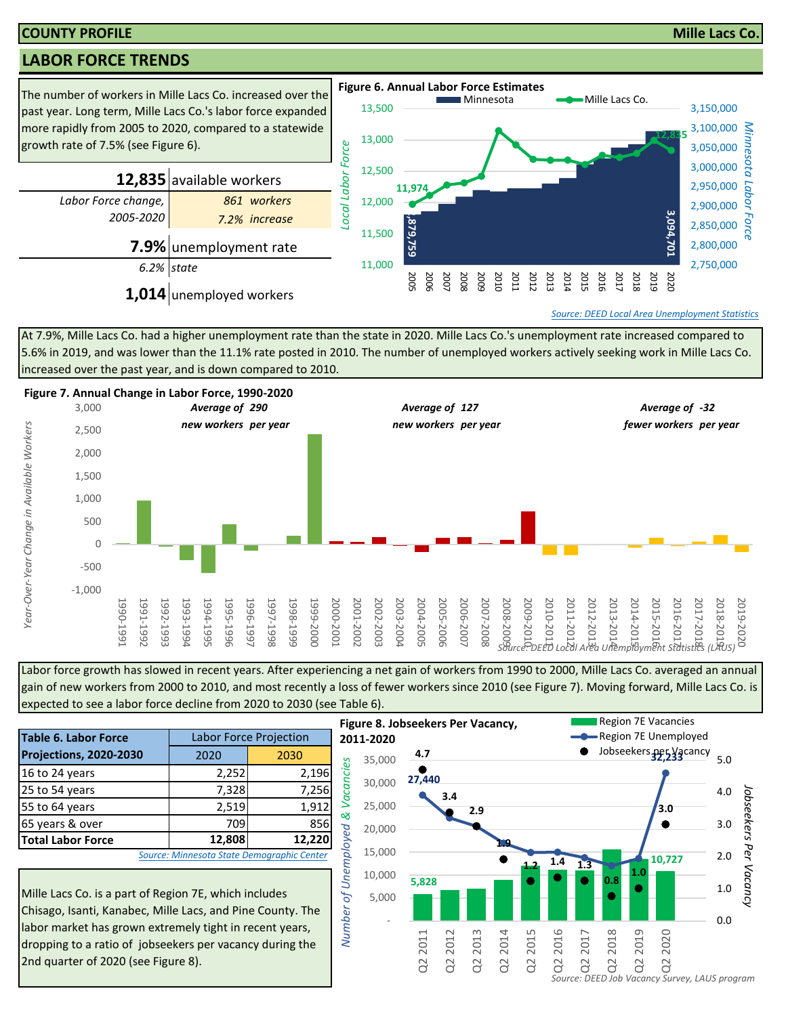#### **COUNTY PROFILE Mille Lacs Co.**

## **LABOR FORCE TRENDS**



At 7.9%, Mille Lacs Co. had a higher unemployment rate than the state in 2020. Mille Lacs Co.'s unemployment rate increased compared to 5.6% in 2019, and was lower than the 11.1% rate posted in 2010. The number of unemployed workers actively seeking work in Mille Lacs Co. increased over the past year, and is down compared to 2010.



Labor force growth has slowed in recent years. After experiencing a net gain of workers from 1990 to 2000, Mille Lacs Co. averaged an annual gain of new workers from 2000 to 2010, and most recently a loss of fewer workers since 2010 (see Figure 7). Moving forward, Mille Lacs Co. is expected to see a labor force decline from 2020 to 2030 (see Table 6).

|                                                                                                                                                                                          |        |                                            | гіб             |  |  |  |  |  |
|------------------------------------------------------------------------------------------------------------------------------------------------------------------------------------------|--------|--------------------------------------------|-----------------|--|--|--|--|--|
| <b>Table 6. Labor Force</b>                                                                                                                                                              |        | <b>Labor Force Projection</b>              | 20 <sub>2</sub> |  |  |  |  |  |
| Projections, 2020-2030                                                                                                                                                                   | 2020   | 2030                                       |                 |  |  |  |  |  |
| 16 to 24 years                                                                                                                                                                           | 2,252  | 2,196                                      | Vacancies       |  |  |  |  |  |
| 25 to 54 years                                                                                                                                                                           | 7,328  | 7,256                                      |                 |  |  |  |  |  |
| 55 to 64 years                                                                                                                                                                           | 2,519  | 1,912                                      |                 |  |  |  |  |  |
| 65 years & over                                                                                                                                                                          | 709    | 856                                        | ళ               |  |  |  |  |  |
| <b>Total Labor Force</b>                                                                                                                                                                 | 12,808 | 12,220                                     |                 |  |  |  |  |  |
|                                                                                                                                                                                          |        | Source: Minnesota State Demographic Center | of Unemployed   |  |  |  |  |  |
| Mille Lacs Co. is a part of Region 7E, which includes<br>Number<br>Chisago, Isanti, Kanabec, Mille Lacs, and Pine County. The<br>labor market has grown extremely tight in recent years, |        |                                            |                 |  |  |  |  |  |

Mille Lacs Co. is a part of Region 7E, which includes Chisago, Isanti, Kanabec, Mille Lacs, and Pine County. The labor market has grown extremely tight in recent years, dropping to a ratio of jobseekers per vacancy during the 2nd quarter of 2020 (see Figure 8).

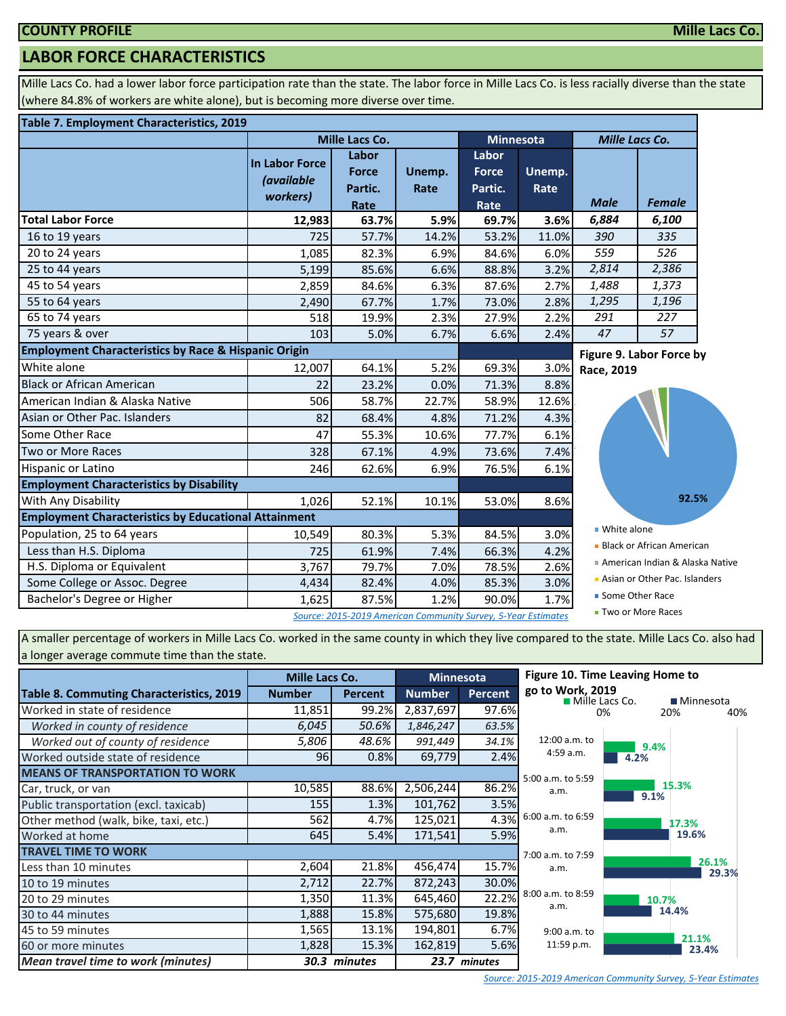## **LABOR FORCE CHARACTERISTICS**

Mille Lacs Co. had a lower labor force participation rate than the state. The labor force in Mille Lacs Co. is less racially diverse than the state (where 84.8% of workers are white alone), but is becoming more diverse over time.

#### **Table 7. Employment Characteristics, 2019**

|                                                                 |                                                        | <b>Mille Lacs Co.</b>                                         |                | <b>Minnesota</b>                         |                | <b>Mille Lacs Co.</b> |                                 |  |
|-----------------------------------------------------------------|--------------------------------------------------------|---------------------------------------------------------------|----------------|------------------------------------------|----------------|-----------------------|---------------------------------|--|
|                                                                 | <b>In Labor Force</b><br><i>(available</i><br>workers) | Labor<br><b>Force</b><br>Partic.<br>Rate                      | Unemp.<br>Rate | Labor<br><b>Force</b><br>Partic.<br>Rate | Unemp.<br>Rate | <b>Male</b>           | <b>Female</b>                   |  |
| <b>Total Labor Force</b>                                        | 12,983                                                 | 63.7%                                                         | 5.9%           | 69.7%                                    | 3.6%           | 6,884                 | 6,100                           |  |
| 16 to 19 years                                                  | 725                                                    | 57.7%                                                         | 14.2%          | 53.2%                                    | 11.0%          | 390                   | 335                             |  |
| 20 to 24 years                                                  | 1,085                                                  | 82.3%                                                         | 6.9%           | 84.6%                                    | 6.0%           | 559                   | 526                             |  |
| 25 to 44 years                                                  | 5,199                                                  | 85.6%                                                         | 6.6%           | 88.8%                                    | 3.2%           | 2,814                 | 2,386                           |  |
| 45 to 54 years                                                  | 2,859                                                  | 84.6%                                                         | 6.3%           | 87.6%                                    | 2.7%           | 1,488                 | 1,373                           |  |
| 55 to 64 years                                                  | 2,490                                                  | 67.7%                                                         | 1.7%           | 73.0%                                    | 2.8%           | 1,295                 | 1,196                           |  |
| 65 to 74 years                                                  | 518                                                    | 19.9%                                                         | 2.3%           | 27.9%                                    | 2.2%           | 291                   | 227                             |  |
| 75 years & over                                                 | 103                                                    | 5.0%                                                          | 6.7%           | 6.6%                                     | 2.4%           | 47                    | 57                              |  |
| <b>Employment Characteristics by Race &amp; Hispanic Origin</b> |                                                        |                                                               |                |                                          |                |                       | Figure 9. Labor Force by        |  |
| White alone                                                     | 12,007                                                 | 64.1%                                                         | 5.2%           | 69.3%                                    | 3.0%           | Race, 2019            |                                 |  |
| <b>Black or African American</b>                                | 22                                                     | 23.2%                                                         | 0.0%           | 71.3%                                    | 8.8%           |                       |                                 |  |
| American Indian & Alaska Native                                 | 506                                                    | 58.7%                                                         | 22.7%          | 58.9%                                    | 12.6%          |                       |                                 |  |
| Asian or Other Pac. Islanders                                   | 82                                                     | 68.4%                                                         | 4.8%           | 71.2%                                    | 4.3%           |                       |                                 |  |
| Some Other Race                                                 | 47                                                     | 55.3%                                                         | 10.6%          | 77.7%                                    | 6.1%           |                       |                                 |  |
| Two or More Races                                               | 328                                                    | 67.1%                                                         | 4.9%           | 73.6%                                    | 7.4%           |                       |                                 |  |
| <b>Hispanic or Latino</b>                                       | 246                                                    | 62.6%                                                         | 6.9%           | 76.5%                                    | 6.1%           |                       |                                 |  |
| <b>Employment Characteristics by Disability</b>                 |                                                        |                                                               |                |                                          |                |                       |                                 |  |
| With Any Disability                                             | 1,026                                                  | 52.1%                                                         | 10.1%          | 53.0%                                    | 8.6%           |                       | 92.5%                           |  |
| <b>Employment Characteristics by Educational Attainment</b>     |                                                        |                                                               |                |                                          |                |                       |                                 |  |
| Population, 25 to 64 years                                      | 10,549                                                 | 80.3%                                                         | 5.3%           | 84.5%                                    | 3.0%           | ■ White alone         |                                 |  |
| Less than H.S. Diploma                                          | 725                                                    | 61.9%                                                         | 7.4%           | 66.3%                                    | 4.2%           |                       | • Black or African American     |  |
| H.S. Diploma or Equivalent                                      | 3,767                                                  | 79.7%                                                         | 7.0%           | 78.5%                                    | 2.6%           |                       | American Indian & Alaska Native |  |
| Some College or Assoc. Degree                                   | 4,434                                                  | 82.4%                                                         | 4.0%           | 85.3%                                    | 3.0%           |                       | Asian or Other Pac. Islanders   |  |
| Bachelor's Degree or Higher                                     | 1,625                                                  | 87.5%                                                         | 1.2%           | 90.0%                                    | 1.7%           | ■ Some Other Race     |                                 |  |
|                                                                 |                                                        | Source: 2015-2019 American Community Survey, 5-Year Estimates |                |                                          |                |                       | ■ Two or More Races             |  |

A smaller percentage of workers in Mille Lacs Co. worked in the same county in which they live compared to the state. Mille Lacs Co. also had a longer average commute time than the state.

|                                           | Mille Lacs Co. |                |               | <b>Minnesota</b> | Figure 10. Time Leaving Home to    |       |                |  |
|-------------------------------------------|----------------|----------------|---------------|------------------|------------------------------------|-------|----------------|--|
| Table 8. Commuting Characteristics, 2019  | <b>Number</b>  | <b>Percent</b> | <b>Number</b> | <b>Percent</b>   | go to Work, 2019<br>Mille Lacs Co. |       | ■ Minnesota    |  |
| Worked in state of residence              | 11,851         | 99.2%          | 2,837,697     | 97.6%            |                                    | በ%    | 20%<br>40      |  |
| Worked in county of residence             | 6,045          | 50.6%          | 1,846,247     | 63.5%            |                                    |       |                |  |
| Worked out of county of residence         | 5,806          | 48.6%          | 991,449       | 34.1%            | $12:00$ a.m. to                    | 9.4%  |                |  |
| Worked outside state of residence         | 96             | 0.8%           | 69,779        | 2.4%             | 4:59a.m.                           | 4.2%  |                |  |
| <b>MEANS OF TRANSPORTATION TO WORK</b>    |                |                |               |                  | 5:00 a.m. to 5:59                  |       |                |  |
| Car, truck, or van                        | 10,585         | 88.6%          | 2,506,244     | 86.2%            | a.m.                               | 9.1%  | 15.3%          |  |
| Public transportation (excl. taxicab)     | 155            | 1.3%           | 101,762       | 3.5%             |                                    |       |                |  |
| Other method (walk, bike, taxi, etc.)     | 562            | 4.7%           | 125,021       | 4.3%             | 6:00 a.m. to 6:59                  |       | 17.3%          |  |
| Worked at home                            | 645            | 5.4%           | 171,541       | 5.9%             | a.m.                               |       | 19.6%          |  |
| <b>TRAVEL TIME TO WORK</b>                |                |                |               |                  | 7:00 a.m. to 7:59                  |       |                |  |
| Less than 10 minutes                      | 2,604          | 21.8%          | 456,474       | 15.7%            | a.m.                               |       | 26.1%<br>29.3% |  |
| 10 to 19 minutes                          | 2,712          | 22.7%          | 872,243       | 30.0%            |                                    |       |                |  |
| 20 to 29 minutes                          | 1,350          | 11.3%          | 645,460       | 22.2%            | 8:00 a.m. to 8:59<br>a.m.          | 10.7% |                |  |
| 30 to 44 minutes                          | 1,888          | 15.8%          | 575,680       | 19.8%            |                                    |       | 14.4%          |  |
| 45 to 59 minutes                          | 1,565          | 13.1%          | 194,801       | 6.7%             | 9:00 a.m. to                       |       |                |  |
| 60 or more minutes                        | 1,828          | 15.3%          | 162,819       | 5.6%             | 11:59 p.m.                         |       | 21.1%<br>23.4% |  |
| <b>Mean travel time to work (minutes)</b> |                | 30.3 minutes   |               | 23.7 minutes     |                                    |       |                |  |

 $-40%$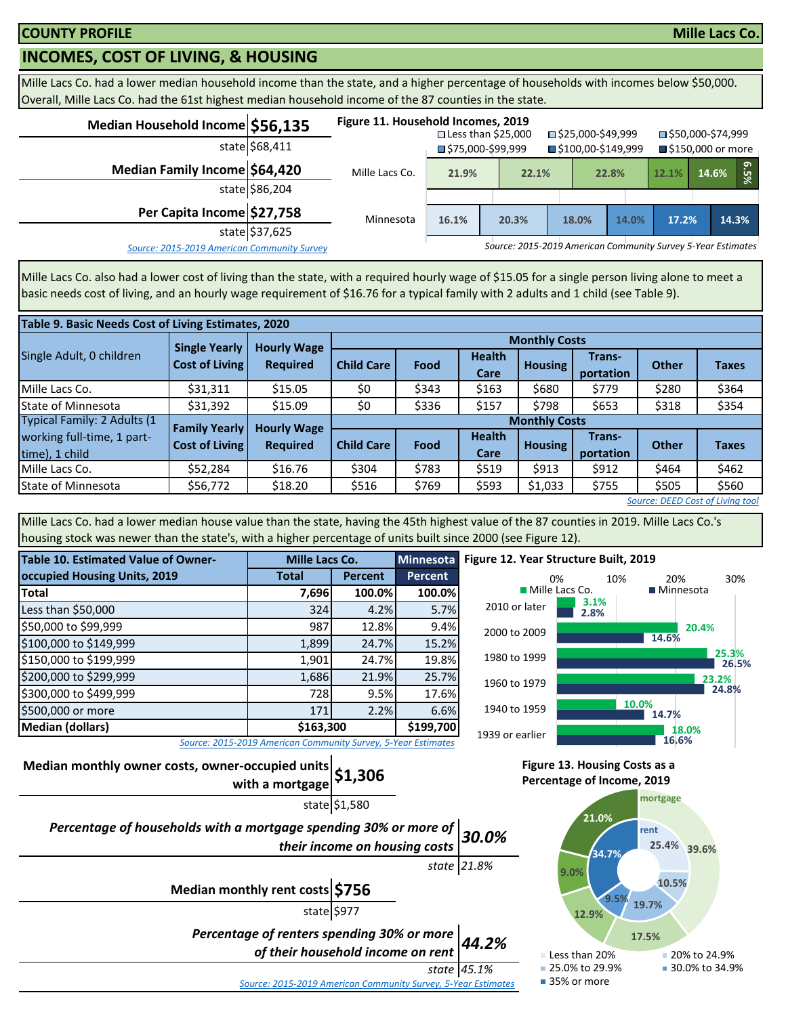## **INCOMES, COST OF LIVING, & HOUSING**

Mille Lacs Co. had a lower median household income than the state, and a higher percentage of households with incomes below \$50,000. Overall, Mille Lacs Co. had the 61st highest median household income of the 87 counties in the state.

| Median Household Income \$56,135            | state \$68,411 | Figure 11. Household Incomes, 2019 |       | $\square$ Less than \$25,000<br>■\$75,000-\$99,999           | □ \$25,000-\$49,999<br>■\$100,00-\$149,999 |       | ■\$50,000-\$74,999<br>■ \$150,000 or more |       |       |      |
|---------------------------------------------|----------------|------------------------------------|-------|--------------------------------------------------------------|--------------------------------------------|-------|-------------------------------------------|-------|-------|------|
| Median Family Income \$64,420               | state \$86,204 | Mille Lacs Co.                     | 21.9% | 22.1%                                                        |                                            | 22.8% | 12.1%                                     | 14.6% |       | 6.5% |
| Per Capita Income \$27,758                  | state \$37,625 | Minnesota                          | 16.1% | 20.3%                                                        | 18.0%                                      | 14.0% | 17.2%                                     |       | 14.3% |      |
| Source: 2015-2019 American Community Survey |                |                                    |       | Source: 2015-2019 American Community Survey 5-Year Estimates |                                            |       |                                           |       |       |      |

Mille Lacs Co. also had a lower cost of living than the state, with a required hourly wage of \$15.05 for a single person living alone to meet a basic needs cost of living, and an hourly wage requirement of \$16.76 for a typical family with 2 adults and 1 child (see Table 9).

| Table 9. Basic Needs Cost of Living Estimates, 2020 |                       |                    |                      |                      |                       |                |                     |              |                                  |  |  |  |
|-----------------------------------------------------|-----------------------|--------------------|----------------------|----------------------|-----------------------|----------------|---------------------|--------------|----------------------------------|--|--|--|
|                                                     | <b>Single Yearly</b>  | <b>Hourly Wage</b> |                      | <b>Monthly Costs</b> |                       |                |                     |              |                                  |  |  |  |
| Single Adult, 0 children                            | <b>Cost of Living</b> | <b>Required</b>    | <b>Child Care</b>    | Food                 | <b>Health</b><br>Care | <b>Housing</b> | Trans-<br>portation | <b>Other</b> | <b>Taxes</b>                     |  |  |  |
| Mille Lacs Co.                                      | \$31,311              | \$15.05            | \$0                  | \$343                | \$163                 | \$680          | \$779               | \$280        | \$364                            |  |  |  |
| <b>State of Minnesota</b>                           | \$31,392              | \$15.09            | \$0                  | \$336                | \$157                 | \$798          | \$653               | \$318        | \$354                            |  |  |  |
| Typical Family: 2 Adults (1                         | <b>Family Yearly</b>  | <b>Hourly Wage</b> | <b>Monthly Costs</b> |                      |                       |                |                     |              |                                  |  |  |  |
| working full-time, 1 part-<br>time), 1 child        | <b>Cost of Living</b> | <b>Required</b>    | <b>Child Care</b>    | Food                 | <b>Health</b><br>Care | <b>Housing</b> | Trans-<br>portation | <b>Other</b> | <b>Taxes</b>                     |  |  |  |
| Mille Lacs Co.                                      | \$52,284              | \$16.76            | \$304                | \$783                | \$519                 | \$913          | \$912               | \$464        | \$462                            |  |  |  |
| State of Minnesota                                  | \$56,772              | \$18.20            | \$516                | \$769                | \$593                 | \$1,033        | \$755               | \$505        | \$560                            |  |  |  |
|                                                     |                       |                    |                      |                      |                       |                |                     |              | Source: DEED Cost of Living tool |  |  |  |

Mille Lacs Co. had a lower median house value than the state, having the 45th highest value of the 87 counties in 2019. Mille Lacs Co.'s housing stock was newer than the state's, with a higher percentage of units built since 2000 (see Figure 12).

| Table 10. Estimated Value of Owner-  | Mille Lacs Co.                                                |                | Minnesota      |  |  |
|--------------------------------------|---------------------------------------------------------------|----------------|----------------|--|--|
| occupied Housing Units, 2019         | <b>Total</b>                                                  | <b>Percent</b> | <b>Percent</b> |  |  |
| <b>Total</b>                         | 7,696                                                         | 100.0%         | 100.0%         |  |  |
| Less than \$50,000                   | 324                                                           | 4.2%           | 5.7%           |  |  |
| \$50,000 to \$99,999                 | 987                                                           | 12.8%          | 9.4%           |  |  |
| \$100,000 to \$149,999               | 1,899                                                         | 24.7%          | 15.2%          |  |  |
| \$150,000 to \$199,999               | 1,901                                                         | 24.7%          | 19.8%          |  |  |
| \$200,000 to \$299,999               | 1,686                                                         | 21.9%          | 25.7%          |  |  |
| \$300,000 to \$499,999               | 728                                                           | 9.5%           | 17.6%          |  |  |
| \$500,000 or more                    | 171                                                           | 2.2%           | 6.6%           |  |  |
| \$163,300<br><b>Median (dollars)</b> |                                                               |                |                |  |  |
|                                      | Source: 2015-2019 American Community Survey, 5-Year Estimates |                |                |  |  |



*Source: 2015-2019 American Community Survey, 5-Year Estimates*

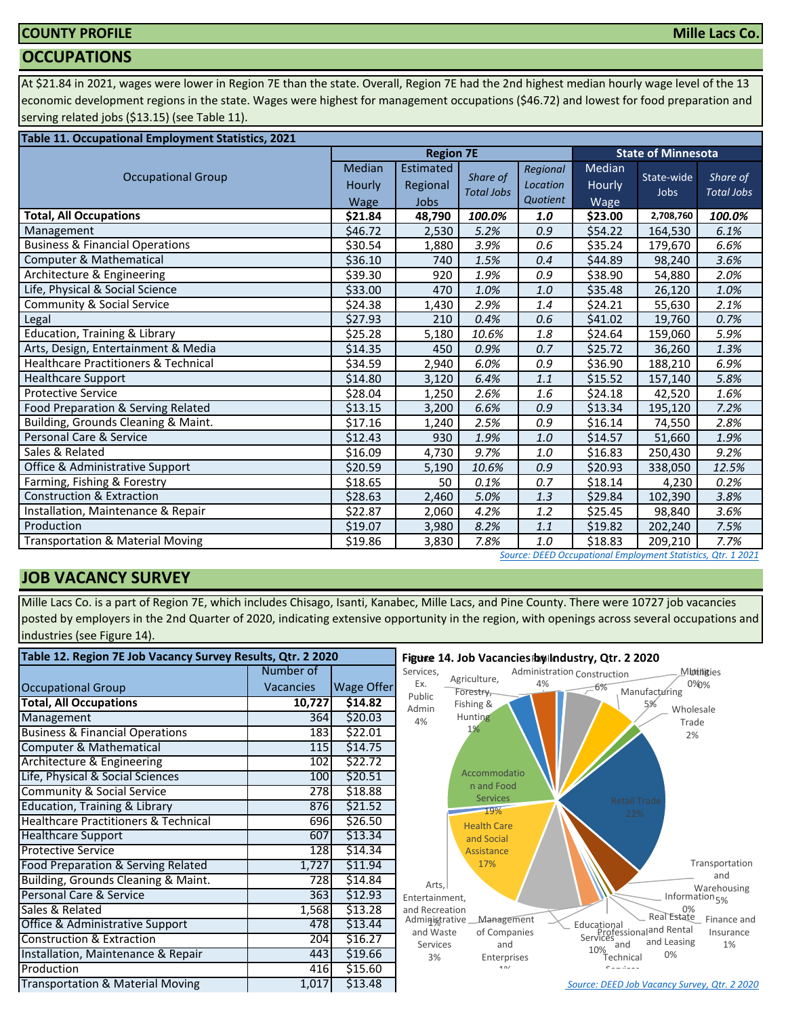### **COUNTY PROFILE**

## **Mille Lacs Co.**

#### **OCCUPATIONS**

At \$21.84 in 2021, wages were lower in Region 7E than the state. Overall, Region 7E had the 2nd highest median hourly wage level of the 13 economic development regions in the state. Wages were highest for management occupations (\$46.72) and lowest for food preparation and serving related jobs (\$13.15) (see Table 11).

| Table 11. Occupational Employment Statistics, 2021 |                          |                               |                               |                                  |                          |                           |                               |  |  |  |
|----------------------------------------------------|--------------------------|-------------------------------|-------------------------------|----------------------------------|--------------------------|---------------------------|-------------------------------|--|--|--|
|                                                    |                          | <b>Region 7E</b>              |                               |                                  |                          | <b>State of Minnesota</b> |                               |  |  |  |
| <b>Occupational Group</b>                          | Median<br>Hourly<br>Wage | Estimated<br>Regional<br>Jobs | Share of<br><b>Total Jobs</b> | Regional<br>Location<br>Quotient | Median<br>Hourly<br>Wage | State-wide<br><b>Jobs</b> | Share of<br><b>Total Jobs</b> |  |  |  |
| <b>Total, All Occupations</b>                      | \$21.84                  | 48,790                        | 100.0%                        | 1.0                              | \$23.00                  | 2,708,760                 | 100.0%                        |  |  |  |
| Management                                         | \$46.72                  | 2,530                         | 5.2%                          | 0.9                              | \$54.22                  | 164,530                   | 6.1%                          |  |  |  |
| <b>Business &amp; Financial Operations</b>         | \$30.54                  | 1,880                         | 3.9%                          | 0.6                              | \$35.24                  | 179,670                   | 6.6%                          |  |  |  |
| Computer & Mathematical                            | \$36.10                  | 740                           | 1.5%                          | 0.4                              | \$44.89                  | 98,240                    | 3.6%                          |  |  |  |
| Architecture & Engineering                         | \$39.30                  | 920                           | 1.9%                          | 0.9                              | \$38.90                  | 54,880                    | 2.0%                          |  |  |  |
| Life, Physical & Social Science                    | \$33.00                  | 470                           | 1.0%                          | 1.0                              | \$35.48                  | 26,120                    | 1.0%                          |  |  |  |
| <b>Community &amp; Social Service</b>              | \$24.38                  | 1,430                         | 2.9%                          | 1.4                              | \$24.21                  | 55,630                    | 2.1%                          |  |  |  |
| Legal                                              | \$27.93                  | 210                           | 0.4%                          | 0.6                              | \$41.02                  | 19,760                    | 0.7%                          |  |  |  |
| Education, Training & Library                      | \$25.28                  | 5,180                         | 10.6%                         | 1.8                              | \$24.64                  | 159,060                   | 5.9%                          |  |  |  |
| Arts, Design, Entertainment & Media                | \$14.35                  | 450                           | 0.9%                          | 0.7                              | \$25.72                  | 36,260                    | 1.3%                          |  |  |  |
| <b>Healthcare Practitioners &amp; Technical</b>    | \$34.59                  | 2,940                         | 6.0%                          | 0.9                              | \$36.90                  | 188,210                   | 6.9%                          |  |  |  |
| <b>Healthcare Support</b>                          | \$14.80                  | 3,120                         | 6.4%                          | 1.1                              | \$15.52                  | 157,140                   | 5.8%                          |  |  |  |
| <b>Protective Service</b>                          | \$28.04                  | 1,250                         | 2.6%                          | 1.6                              | \$24.18                  | 42,520                    | 1.6%                          |  |  |  |
| Food Preparation & Serving Related                 | \$13.15                  | 3,200                         | 6.6%                          | 0.9                              | \$13.34                  | 195,120                   | 7.2%                          |  |  |  |
| Building, Grounds Cleaning & Maint.                | \$17.16                  | 1,240                         | 2.5%                          | 0.9                              | \$16.14                  | 74,550                    | 2.8%                          |  |  |  |
| Personal Care & Service                            | \$12.43                  | 930                           | 1.9%                          | 1.0                              | \$14.57                  | 51,660                    | 1.9%                          |  |  |  |
| Sales & Related                                    | \$16.09                  | 4,730                         | 9.7%                          | 1.0                              | \$16.83                  | 250,430                   | 9.2%                          |  |  |  |
| Office & Administrative Support                    | \$20.59                  | 5,190                         | 10.6%                         | 0.9                              | \$20.93                  | 338,050                   | 12.5%                         |  |  |  |
| Farming, Fishing & Forestry                        | \$18.65                  | 50                            | 0.1%                          | 0.7                              | \$18.14                  | 4,230                     | 0.2%                          |  |  |  |
| <b>Construction &amp; Extraction</b>               | \$28.63                  | 2,460                         | 5.0%                          | 1.3                              | \$29.84                  | 102,390                   | 3.8%                          |  |  |  |
| Installation, Maintenance & Repair                 | \$22.87                  | 2,060                         | 4.2%                          | 1.2                              | \$25.45                  | 98,840                    | 3.6%                          |  |  |  |
| Production                                         | \$19.07                  | 3,980                         | 8.2%                          | 1.1                              | \$19.82                  | 202,240                   | 7.5%                          |  |  |  |
| <b>Transportation &amp; Material Moving</b>        | \$19.86                  | 3,830                         | 7.8%                          | 1.0                              | \$18.83                  | 209,210                   | 7.7%                          |  |  |  |

#### *[S](http://www.mn.gov/deed/data/data-tools/oes/)ource: DEED Occupational Employment Statistics, Qtr. 1 2021*

### **JOB VACANCY SURVEY**

Mille Lacs Co. is a part of Region 7E, which includes Chisago, Isanti, Kanabec, Mille Lacs, and Pine County. There were 10727 job vacancies posted by employers in the 2nd Quarter of 2020, indicating extensive opportunity in the region, with openings across several occupations and industries (see Figure 14).

| Table 12. Region 7E Job Vacancy Survey Results, Qtr. 2 2020 |                  |            | Figure 14. Job Vacancies by Industry, Qtr. 2 2020                                                                              |  |  |  |  |
|-------------------------------------------------------------|------------------|------------|--------------------------------------------------------------------------------------------------------------------------------|--|--|--|--|
|                                                             | Number of        |            | Services,<br>Administration Construction<br>Muthities<br>Agriculture,                                                          |  |  |  |  |
| <b>Occupational Group</b>                                   | <b>Vacancies</b> | Wage Offer | Ex.<br>0%0%<br>4%<br>-6%<br>Manufacturing<br>Forestry,                                                                         |  |  |  |  |
| <b>Total, All Occupations</b>                               | 10,727           | \$14.82    | Public<br>Fishing &<br>5%<br>Admin<br>Wholesale                                                                                |  |  |  |  |
| Management                                                  | 364              | \$20.03    | Hunting<br>4%<br>Trade                                                                                                         |  |  |  |  |
| <b>Business &amp; Financial Operations</b>                  | 183              | \$22.01    | 1%<br>2%                                                                                                                       |  |  |  |  |
| Computer & Mathematical                                     | 115              | \$14.75    |                                                                                                                                |  |  |  |  |
| Architecture & Engineering                                  | 102              | \$22.72    |                                                                                                                                |  |  |  |  |
| Life, Physical & Social Sciences                            | 100              | \$20.51    | Accommodatio                                                                                                                   |  |  |  |  |
| <b>Community &amp; Social Service</b>                       | 278              | \$18.88    | n and Food<br><b>Services</b>                                                                                                  |  |  |  |  |
| Education, Training & Library                               | 876              | \$21.52    | <b>Retail Trade</b><br>19%<br>22%                                                                                              |  |  |  |  |
| <b>Healthcare Practitioners &amp; Technical</b>             | 696              | \$26.50    | <b>Health Care</b>                                                                                                             |  |  |  |  |
| <b>Healthcare Support</b>                                   | 607              | \$13.34    | and Social                                                                                                                     |  |  |  |  |
| <b>Protective Service</b>                                   | 128              | \$14.34    | Assistance                                                                                                                     |  |  |  |  |
| Food Preparation & Serving Related                          | 1,727            | \$11.94    | Transportation<br>17%                                                                                                          |  |  |  |  |
| Building, Grounds Cleaning & Maint.                         | 728              | \$14.84    | and<br>Arts.<br>Warehousing                                                                                                    |  |  |  |  |
| Personal Care & Service                                     | 363              | \$12.93    | Information <sub>5%</sub><br>Entertainment,                                                                                    |  |  |  |  |
| Sales & Related                                             | 1,568            | \$13.28    | and Recreation<br>0%<br>Real Estate                                                                                            |  |  |  |  |
| Office & Administrative Support                             | 478              | \$13.44    | Finance and<br>Management<br>Administrative<br>Educational<br>Professionaland Rental<br>and Waste<br>of Companies<br>Insurance |  |  |  |  |
| Construction & Extraction                                   | 204              | \$16.27    | and Leasing<br>1%<br>Services<br>and<br>and                                                                                    |  |  |  |  |
| Installation, Maintenance & Repair                          | 443              | \$19.66    | 10%<br>0%<br>3%<br>Enterprises<br>Technical                                                                                    |  |  |  |  |
| Production                                                  | 416              | \$15.60    | 101<br>Camillan                                                                                                                |  |  |  |  |
| <b>Transportation &amp; Material Moving</b>                 | 1,017            | \$13.48    | Source: DEED Job Vacancy Survey, Qtr. 2 2020                                                                                   |  |  |  |  |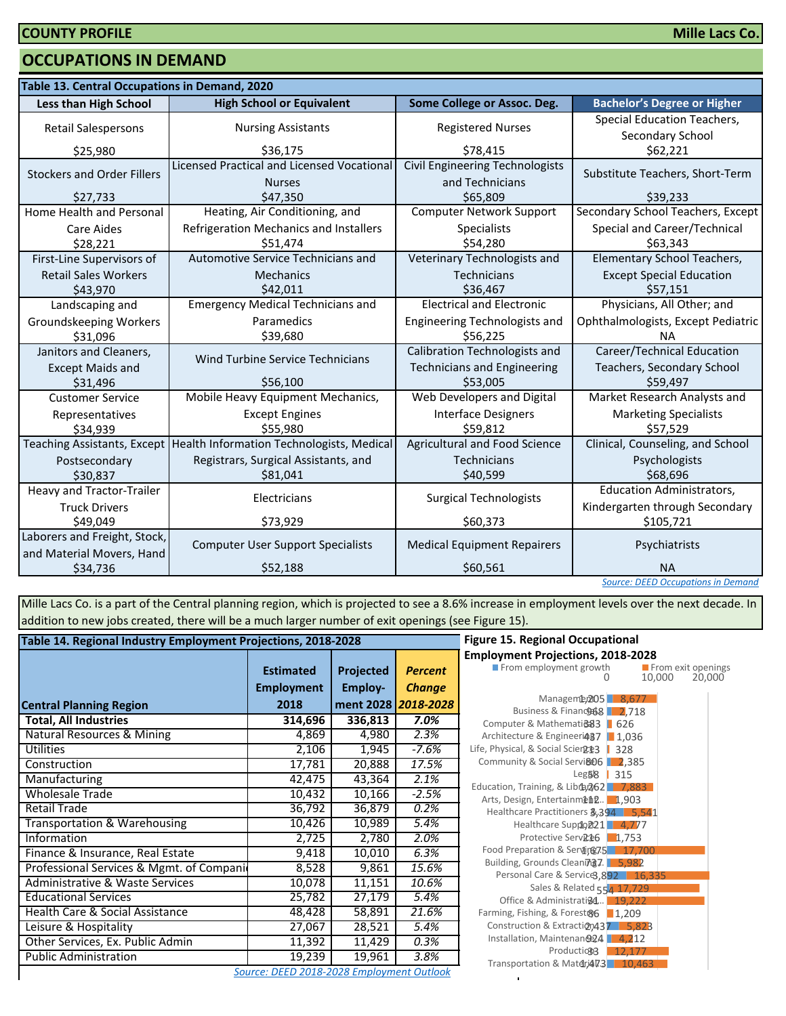#### **OCCUPATIONS IN DEMAND**

| Table 13. Central Occupations in Demand, 2020 |                                            |                                      |                                           |  |  |  |
|-----------------------------------------------|--------------------------------------------|--------------------------------------|-------------------------------------------|--|--|--|
| <b>Less than High School</b>                  | <b>High School or Equivalent</b>           | Some College or Assoc. Deg.          | <b>Bachelor's Degree or Higher</b>        |  |  |  |
| Retail Salespersons                           | <b>Nursing Assistants</b>                  | <b>Registered Nurses</b>             | Special Education Teachers,               |  |  |  |
|                                               |                                            |                                      | Secondary School                          |  |  |  |
| \$25,980                                      | \$36,175                                   | \$78,415                             | \$62,221                                  |  |  |  |
| <b>Stockers and Order Fillers</b>             | Licensed Practical and Licensed Vocational | Civil Engineering Technologists      | Substitute Teachers, Short-Term           |  |  |  |
|                                               | <b>Nurses</b>                              | and Technicians                      |                                           |  |  |  |
| \$27,733                                      | \$47,350                                   | \$65,809                             | \$39.233                                  |  |  |  |
| Home Health and Personal                      | Heating, Air Conditioning, and             | <b>Computer Network Support</b>      | Secondary School Teachers, Except         |  |  |  |
| <b>Care Aides</b>                             | Refrigeration Mechanics and Installers     | <b>Specialists</b>                   | Special and Career/Technical              |  |  |  |
| \$28,221                                      | \$51,474                                   | \$54,280                             | \$63,343                                  |  |  |  |
| First-Line Supervisors of                     | <b>Automotive Service Technicians and</b>  | Veterinary Technologists and         | Elementary School Teachers,               |  |  |  |
| <b>Retail Sales Workers</b>                   | <b>Mechanics</b>                           | <b>Technicians</b>                   | <b>Except Special Education</b>           |  |  |  |
| \$43,970                                      | \$42,011                                   | \$36,467                             | \$57,151                                  |  |  |  |
| Landscaping and                               | <b>Emergency Medical Technicians and</b>   | <b>Electrical and Electronic</b>     | Physicians, All Other; and                |  |  |  |
| <b>Groundskeeping Workers</b>                 | Paramedics                                 | <b>Engineering Technologists and</b> | Ophthalmologists, Except Pediatric        |  |  |  |
| \$31,096                                      | \$39,680                                   | \$56,225                             | <b>NA</b>                                 |  |  |  |
| Janitors and Cleaners,                        | <b>Wind Turbine Service Technicians</b>    | <b>Calibration Technologists and</b> | Career/Technical Education                |  |  |  |
| <b>Except Maids and</b>                       |                                            | <b>Technicians and Engineering</b>   | Teachers, Secondary School                |  |  |  |
| \$31,496                                      | \$56,100                                   | \$53,005                             | \$59,497                                  |  |  |  |
| <b>Customer Service</b>                       | Mobile Heavy Equipment Mechanics,          | Web Developers and Digital           | Market Research Analysts and              |  |  |  |
| Representatives                               | <b>Except Engines</b>                      | <b>Interface Designers</b>           | <b>Marketing Specialists</b>              |  |  |  |
| \$34,939                                      | \$55,980                                   | \$59,812                             | \$57,529                                  |  |  |  |
| <b>Teaching Assistants, Except</b>            | Health Information Technologists, Medical  | Agricultural and Food Science        | Clinical, Counseling, and School          |  |  |  |
| Postsecondary                                 | Registrars, Surgical Assistants, and       | <b>Technicians</b>                   | Psychologists                             |  |  |  |
| \$30,837                                      | \$81,041                                   | \$40,599                             | \$68,696                                  |  |  |  |
| Heavy and Tractor-Trailer                     | Electricians                               | <b>Surgical Technologists</b>        | <b>Education Administrators,</b>          |  |  |  |
| <b>Truck Drivers</b>                          |                                            |                                      | Kindergarten through Secondary            |  |  |  |
| \$49,049                                      | \$73,929                                   | \$60,373                             | \$105,721                                 |  |  |  |
| Laborers and Freight, Stock,                  | <b>Computer User Support Specialists</b>   | <b>Medical Equipment Repairers</b>   | Psychiatrists                             |  |  |  |
| and Material Movers, Hand                     |                                            |                                      |                                           |  |  |  |
| \$34,736                                      | \$52,188                                   | \$60,561                             | <b>NA</b>                                 |  |  |  |
|                                               |                                            |                                      | <b>Source: DEED Occupations in Demand</b> |  |  |  |

Mille Lacs Co. is a part of the Central planning region, which is projected to see a 8.6% increase in employment levels over the next decade. In addition to new jobs created, there will be a much larger number of exit openings (see Figure 15).

| Table 14. Regional Industry Employment Projections, 2018-2028 | <b>Figure 15. Regional Occupational</b>   |                |                     |                                                                        |
|---------------------------------------------------------------|-------------------------------------------|----------------|---------------------|------------------------------------------------------------------------|
|                                                               | <b>Estimated</b>                          | Projected      | <b>Percent</b>      | <b>Employment Projections, 2018-20</b><br>From employment growth       |
|                                                               | <b>Employment</b>                         | <b>Employ-</b> | <b>Change</b>       |                                                                        |
| <b>Central Planning Region</b>                                | 2018                                      |                | ment 2028 2018-2028 | Manageme, 205 8,67<br>Business & Financo 68 2,71                       |
| <b>Total, All Industries</b>                                  | 314,696                                   | 336,813        | 7.0%                | Computer & Mathemati@83   626                                          |
| Natural Resources & Mining                                    | 4,869                                     | 4,980          | 2.3%                | Architecture & Engineeri487   1,036                                    |
| <b>Utilities</b>                                              | 2,106                                     | 1,945          | $-7.6%$             | Life, Physical, & Social Scien2023<br>328                              |
| Construction                                                  | 17,781                                    | 20,888         | 17.5%               | Community & Social Servi&06 2,38!                                      |
| Manufacturing                                                 | 42,475                                    | 43,364         | 2.1%                | Leg58<br>315<br>Education, Training, & Libra, 262 7,88                 |
| <b>Wholesale Trade</b>                                        | 10,432                                    | 10,166         | $-2.5%$             | Arts, Design, Entertainment. 1,903                                     |
| <b>Retail Trade</b>                                           | 36,792                                    | 36,879         | 0.2%                | Healthcare Practitioners 3,394 5,                                      |
| <b>Transportation &amp; Warehousing</b>                       | 10,426                                    | 10,989         | 5.4%                | Healthcare Suppo221 4,77                                               |
| Information                                                   | 2,725                                     | 2,780          | 2.0%                | Protective Serv <sub>R<sup>2</sup>6</sub> 1,753                        |
| Finance & Insurance, Real Estate                              | 9,418                                     | 10,010         | 6.3%                | Food Preparation & Service 75 17,7                                     |
| Professional Services & Mgmt. of Compani                      | 8,528                                     | 9,861          | 15.6%               | Building, Grounds Cleaning7. 5,982<br>Personal Care & Service3,892   1 |
| Administrative & Waste Services                               | 10,078                                    | 11,151         | 10.6%               | Sales & Related 554 17,72                                              |
| <b>Educational Services</b>                                   | 25,782                                    | 27,179         | 5.4%                | Office & Administrati@4 19,22                                          |
| Health Care & Social Assistance                               | 48,428                                    | 58,891         | 21.6%               | Farming, Fishing, & Forest&6 1,209                                     |
| Leisure & Hospitality                                         | 27,067                                    | 28,521         | 5.4%                | Construction & Extraction437 5,8                                       |
| Other Services, Ex. Public Admin                              | 11,392                                    | 11,429         | 0.3%                | Installation, Maintenan@24   4,21<br>Production3<br>12,17              |
| <b>Public Administration</b>                                  | 19,239                                    | 19,961         | 3.8%                | Transportation & Matdri473 10,4                                        |
|                                                               | Source: DEED 2018-2028 Employment Outlook |                |                     |                                                                        |